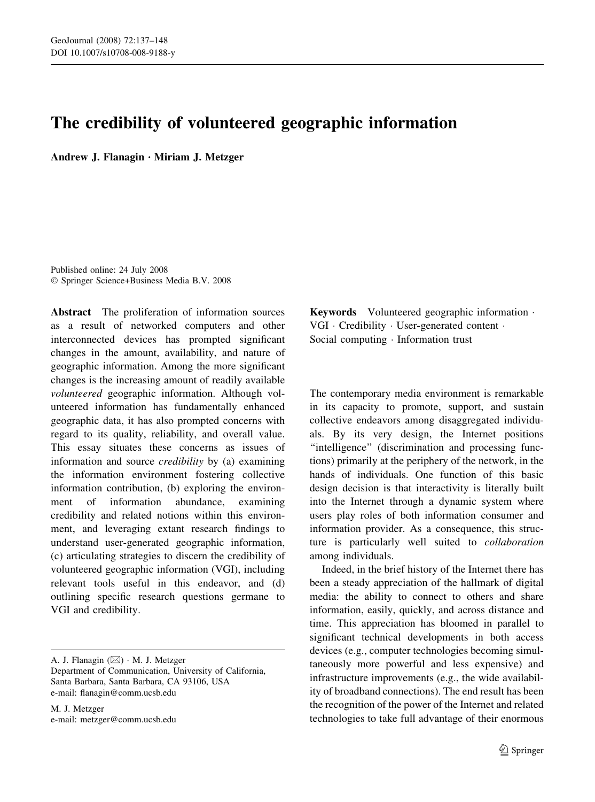# The credibility of volunteered geographic information

Andrew J. Flanagin · Miriam J. Metzger

Published online: 24 July 2008 Springer Science+Business Media B.V. 2008

Abstract The proliferation of information sources as a result of networked computers and other interconnected devices has prompted significant changes in the amount, availability, and nature of geographic information. Among the more significant changes is the increasing amount of readily available volunteered geographic information. Although volunteered information has fundamentally enhanced geographic data, it has also prompted concerns with regard to its quality, reliability, and overall value. This essay situates these concerns as issues of information and source credibility by (a) examining the information environment fostering collective information contribution, (b) exploring the environment of information abundance, examining credibility and related notions within this environment, and leveraging extant research findings to understand user-generated geographic information, (c) articulating strategies to discern the credibility of volunteered geographic information (VGI), including relevant tools useful in this endeavor, and (d) outlining specific research questions germane to VGI and credibility.

M. J. Metzger e-mail: metzger@comm.ucsb.edu Keywords Volunteered geographic information · VGI  $\cdot$  Credibility  $\cdot$  User-generated content  $\cdot$ Social computing  $\cdot$  Information trust

The contemporary media environment is remarkable in its capacity to promote, support, and sustain collective endeavors among disaggregated individuals. By its very design, the Internet positions ''intelligence'' (discrimination and processing functions) primarily at the periphery of the network, in the hands of individuals. One function of this basic design decision is that interactivity is literally built into the Internet through a dynamic system where users play roles of both information consumer and information provider. As a consequence, this structure is particularly well suited to collaboration among individuals.

Indeed, in the brief history of the Internet there has been a steady appreciation of the hallmark of digital media: the ability to connect to others and share information, easily, quickly, and across distance and time. This appreciation has bloomed in parallel to significant technical developments in both access devices (e.g., computer technologies becoming simultaneously more powerful and less expensive) and infrastructure improvements (e.g., the wide availability of broadband connections). The end result has been the recognition of the power of the Internet and related technologies to take full advantage of their enormous

A. J. Flanagin  $(\boxtimes) \cdot M$ . J. Metzger Department of Communication, University of California, Santa Barbara, Santa Barbara, CA 93106, USA e-mail: flanagin@comm.ucsb.edu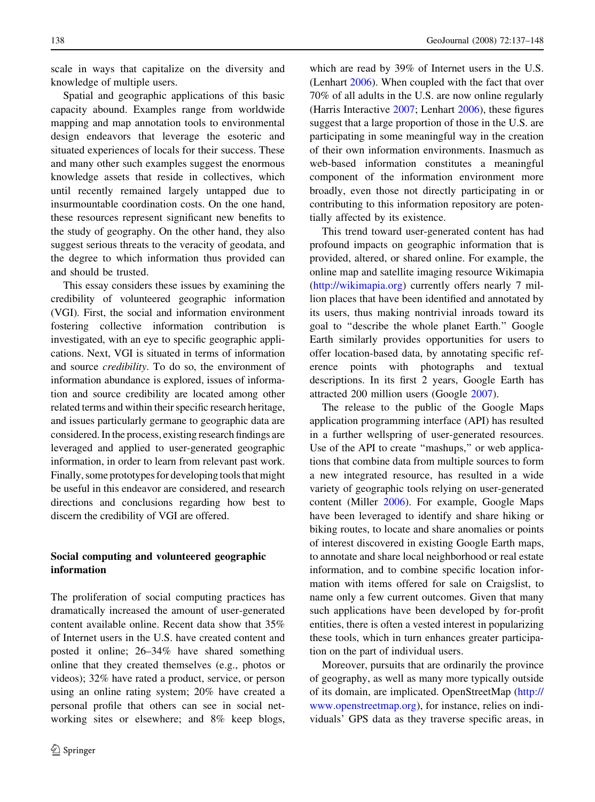scale in ways that capitalize on the diversity and knowledge of multiple users.

Spatial and geographic applications of this basic capacity abound. Examples range from worldwide mapping and map annotation tools to environmental design endeavors that leverage the esoteric and situated experiences of locals for their success. These and many other such examples suggest the enormous knowledge assets that reside in collectives, which until recently remained largely untapped due to insurmountable coordination costs. On the one hand, these resources represent significant new benefits to the study of geography. On the other hand, they also suggest serious threats to the veracity of geodata, and the degree to which information thus provided can and should be trusted.

This essay considers these issues by examining the credibility of volunteered geographic information (VGI). First, the social and information environment fostering collective information contribution is investigated, with an eye to specific geographic applications. Next, VGI is situated in terms of information and source credibility. To do so, the environment of information abundance is explored, issues of information and source credibility are located among other related terms and within their specific research heritage, and issues particularly germane to geographic data are considered. In the process, existing research findings are leveraged and applied to user-generated geographic information, in order to learn from relevant past work. Finally, some prototypes for developing tools that might be useful in this endeavor are considered, and research directions and conclusions regarding how best to discern the credibility of VGI are offered.

## Social computing and volunteered geographic information

The proliferation of social computing practices has dramatically increased the amount of user-generated content available online. Recent data show that 35% of Internet users in the U.S. have created content and posted it online; 26–34% have shared something online that they created themselves (e.g., photos or videos); 32% have rated a product, service, or person using an online rating system; 20% have created a personal profile that others can see in social networking sites or elsewhere; and 8% keep blogs, which are read by 39% of Internet users in the U.S. (Lenhart [2006](#page-10-0)). When coupled with the fact that over 70% of all adults in the U.S. are now online regularly (Harris Interactive [2007;](#page-10-0) Lenhart [2006](#page-10-0)), these figures suggest that a large proportion of those in the U.S. are participating in some meaningful way in the creation of their own information environments. Inasmuch as web-based information constitutes a meaningful component of the information environment more broadly, even those not directly participating in or contributing to this information repository are potentially affected by its existence.

This trend toward user-generated content has had profound impacts on geographic information that is provided, altered, or shared online. For example, the online map and satellite imaging resource Wikimapia [\(http://wikimapia.org](http://wikimapia.org)) currently offers nearly 7 million places that have been identified and annotated by its users, thus making nontrivial inroads toward its goal to ''describe the whole planet Earth.'' Google Earth similarly provides opportunities for users to offer location-based data, by annotating specific reference points with photographs and textual descriptions. In its first 2 years, Google Earth has attracted 200 million users (Google [2007](#page-10-0)).

The release to the public of the Google Maps application programming interface (API) has resulted in a further wellspring of user-generated resources. Use of the API to create "mashups," or web applications that combine data from multiple sources to form a new integrated resource, has resulted in a wide variety of geographic tools relying on user-generated content (Miller [2006\)](#page-10-0). For example, Google Maps have been leveraged to identify and share hiking or biking routes, to locate and share anomalies or points of interest discovered in existing Google Earth maps, to annotate and share local neighborhood or real estate information, and to combine specific location information with items offered for sale on Craigslist, to name only a few current outcomes. Given that many such applications have been developed by for-profit entities, there is often a vested interest in popularizing these tools, which in turn enhances greater participation on the part of individual users.

Moreover, pursuits that are ordinarily the province of geography, as well as many more typically outside of its domain, are implicated. OpenStreetMap [\(http://](http://www.openstreetmap.org) [www.openstreetmap.org](http://www.openstreetmap.org)), for instance, relies on individuals' GPS data as they traverse specific areas, in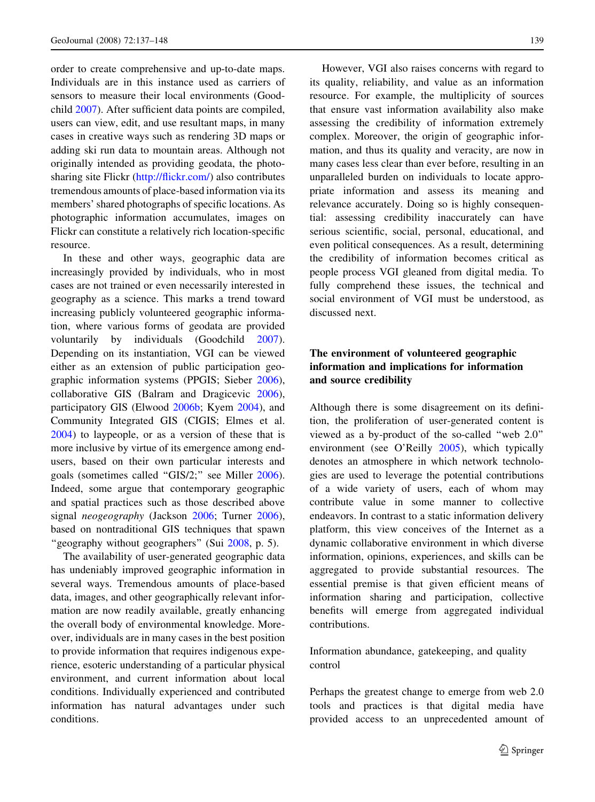order to create comprehensive and up-to-date maps. Individuals are in this instance used as carriers of sensors to measure their local environments (Goodchild [2007](#page-10-0)). After sufficient data points are compiled, users can view, edit, and use resultant maps, in many cases in creative ways such as rendering 3D maps or adding ski run data to mountain areas. Although not originally intended as providing geodata, the photosharing site Flickr [\(http://flickr.com/\)](http://flickr.com/) also contributes tremendous amounts of place-based information via its members' shared photographs of specific locations. As photographic information accumulates, images on Flickr can constitute a relatively rich location-specific resource.

In these and other ways, geographic data are increasingly provided by individuals, who in most cases are not trained or even necessarily interested in geography as a science. This marks a trend toward increasing publicly volunteered geographic information, where various forms of geodata are provided voluntarily by individuals (Goodchild [2007](#page-10-0)). Depending on its instantiation, VGI can be viewed either as an extension of public participation geographic information systems (PPGIS; Sieber [2006](#page-11-0)), collaborative GIS (Balram and Dragicevic [2006](#page-9-0)), participatory GIS (Elwood [2006b](#page-10-0); Kyem [2004](#page-10-0)), and Community Integrated GIS (CIGIS; Elmes et al. [2004\)](#page-10-0) to laypeople, or as a version of these that is more inclusive by virtue of its emergence among endusers, based on their own particular interests and goals (sometimes called ''GIS/2;'' see Miller [2006](#page-10-0)). Indeed, some argue that contemporary geographic and spatial practices such as those described above signal *neogeography* (Jackson [2006;](#page-10-0) Turner [2006](#page-11-0)), based on nontraditional GIS techniques that spawn "geography without geographers" (Sui [2008](#page-11-0), p. 5).

The availability of user-generated geographic data has undeniably improved geographic information in several ways. Tremendous amounts of place-based data, images, and other geographically relevant information are now readily available, greatly enhancing the overall body of environmental knowledge. Moreover, individuals are in many cases in the best position to provide information that requires indigenous experience, esoteric understanding of a particular physical environment, and current information about local conditions. Individually experienced and contributed information has natural advantages under such conditions.

However, VGI also raises concerns with regard to its quality, reliability, and value as an information resource. For example, the multiplicity of sources that ensure vast information availability also make assessing the credibility of information extremely complex. Moreover, the origin of geographic information, and thus its quality and veracity, are now in many cases less clear than ever before, resulting in an unparalleled burden on individuals to locate appropriate information and assess its meaning and relevance accurately. Doing so is highly consequential: assessing credibility inaccurately can have serious scientific, social, personal, educational, and even political consequences. As a result, determining the credibility of information becomes critical as people process VGI gleaned from digital media. To fully comprehend these issues, the technical and social environment of VGI must be understood, as discussed next.

# The environment of volunteered geographic information and implications for information and source credibility

Although there is some disagreement on its definition, the proliferation of user-generated content is viewed as a by-product of the so-called ''web 2.0'' environment (see O'Reilly [2005\)](#page-11-0), which typically denotes an atmosphere in which network technologies are used to leverage the potential contributions of a wide variety of users, each of whom may contribute value in some manner to collective endeavors. In contrast to a static information delivery platform, this view conceives of the Internet as a dynamic collaborative environment in which diverse information, opinions, experiences, and skills can be aggregated to provide substantial resources. The essential premise is that given efficient means of information sharing and participation, collective benefits will emerge from aggregated individual contributions.

Information abundance, gatekeeping, and quality control

Perhaps the greatest change to emerge from web 2.0 tools and practices is that digital media have provided access to an unprecedented amount of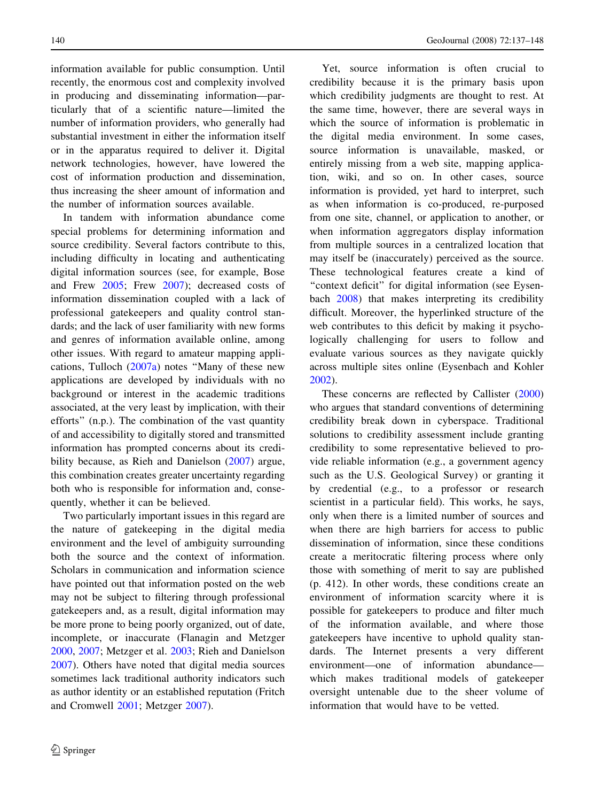information available for public consumption. Until recently, the enormous cost and complexity involved in producing and disseminating information—particularly that of a scientific nature—limited the number of information providers, who generally had substantial investment in either the information itself or in the apparatus required to deliver it. Digital network technologies, however, have lowered the cost of information production and dissemination, thus increasing the sheer amount of information and the number of information sources available.

In tandem with information abundance come special problems for determining information and source credibility. Several factors contribute to this, including difficulty in locating and authenticating digital information sources (see, for example, Bose and Frew [2005](#page-10-0); Frew [2007\)](#page-10-0); decreased costs of information dissemination coupled with a lack of professional gatekeepers and quality control standards; and the lack of user familiarity with new forms and genres of information available online, among other issues. With regard to amateur mapping applications, Tulloch ([2007a](#page-11-0)) notes ''Many of these new applications are developed by individuals with no background or interest in the academic traditions associated, at the very least by implication, with their efforts'' (n.p.). The combination of the vast quantity of and accessibility to digitally stored and transmitted information has prompted concerns about its credibility because, as Rieh and Danielson [\(2007](#page-11-0)) argue, this combination creates greater uncertainty regarding both who is responsible for information and, consequently, whether it can be believed.

Two particularly important issues in this regard are the nature of gatekeeping in the digital media environment and the level of ambiguity surrounding both the source and the context of information. Scholars in communication and information science have pointed out that information posted on the web may not be subject to filtering through professional gatekeepers and, as a result, digital information may be more prone to being poorly organized, out of date, incomplete, or inaccurate (Flanagin and Metzger [2000,](#page-10-0) [2007](#page-10-0); Metzger et al. [2003;](#page-10-0) Rieh and Danielson [2007\)](#page-11-0). Others have noted that digital media sources sometimes lack traditional authority indicators such as author identity or an established reputation (Fritch and Cromwell [2001;](#page-10-0) Metzger [2007\)](#page-10-0).

Yet, source information is often crucial to credibility because it is the primary basis upon which credibility judgments are thought to rest. At the same time, however, there are several ways in which the source of information is problematic in the digital media environment. In some cases, source information is unavailable, masked, or entirely missing from a web site, mapping application, wiki, and so on. In other cases, source information is provided, yet hard to interpret, such as when information is co-produced, re-purposed from one site, channel, or application to another, or when information aggregators display information from multiple sources in a centralized location that may itself be (inaccurately) perceived as the source. These technological features create a kind of "context deficit" for digital information (see Eysenbach [2008\)](#page-10-0) that makes interpreting its credibility difficult. Moreover, the hyperlinked structure of the web contributes to this deficit by making it psychologically challenging for users to follow and evaluate various sources as they navigate quickly across multiple sites online (Eysenbach and Kohler [2002\)](#page-10-0).

These concerns are reflected by Callister ([2000\)](#page-10-0) who argues that standard conventions of determining credibility break down in cyberspace. Traditional solutions to credibility assessment include granting credibility to some representative believed to provide reliable information (e.g., a government agency such as the U.S. Geological Survey) or granting it by credential (e.g., to a professor or research scientist in a particular field). This works, he says, only when there is a limited number of sources and when there are high barriers for access to public dissemination of information, since these conditions create a meritocratic filtering process where only those with something of merit to say are published (p. 412). In other words, these conditions create an environment of information scarcity where it is possible for gatekeepers to produce and filter much of the information available, and where those gatekeepers have incentive to uphold quality standards. The Internet presents a very different environment—one of information abundance which makes traditional models of gatekeeper oversight untenable due to the sheer volume of information that would have to be vetted.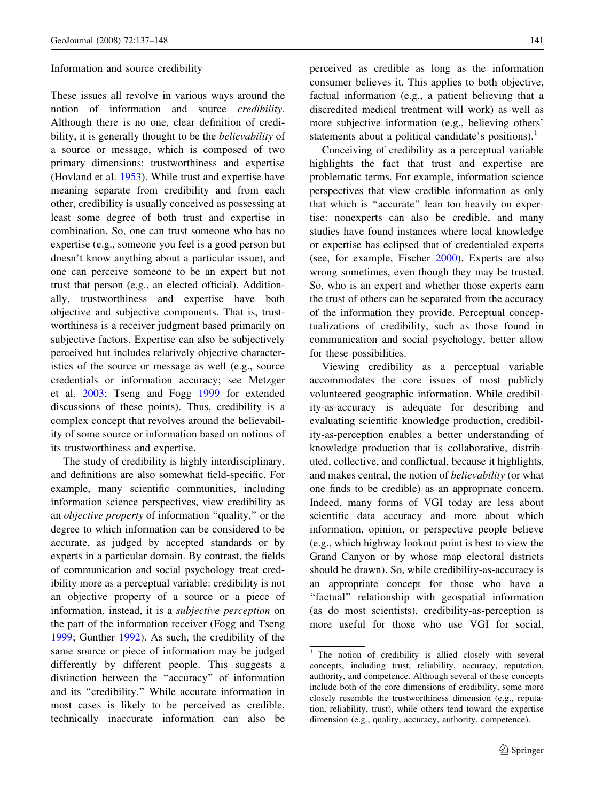#### Information and source credibility

These issues all revolve in various ways around the notion of information and source credibility. Although there is no one, clear definition of credibility, it is generally thought to be the *believability* of a source or message, which is composed of two primary dimensions: trustworthiness and expertise (Hovland et al. [1953](#page-10-0)). While trust and expertise have meaning separate from credibility and from each other, credibility is usually conceived as possessing at least some degree of both trust and expertise in combination. So, one can trust someone who has no expertise (e.g., someone you feel is a good person but doesn't know anything about a particular issue), and one can perceive someone to be an expert but not trust that person (e.g., an elected official). Additionally, trustworthiness and expertise have both objective and subjective components. That is, trustworthiness is a receiver judgment based primarily on subjective factors. Expertise can also be subjectively perceived but includes relatively objective characteristics of the source or message as well (e.g., source credentials or information accuracy; see Metzger et al. [2003;](#page-10-0) Tseng and Fogg [1999](#page-11-0) for extended discussions of these points). Thus, credibility is a complex concept that revolves around the believability of some source or information based on notions of its trustworthiness and expertise.

The study of credibility is highly interdisciplinary, and definitions are also somewhat field-specific. For example, many scientific communities, including information science perspectives, view credibility as an *objective property* of information "quality," or the degree to which information can be considered to be accurate, as judged by accepted standards or by experts in a particular domain. By contrast, the fields of communication and social psychology treat credibility more as a perceptual variable: credibility is not an objective property of a source or a piece of information, instead, it is a subjective perception on the part of the information receiver (Fogg and Tseng [1999;](#page-10-0) Gunther [1992](#page-10-0)). As such, the credibility of the same source or piece of information may be judged differently by different people. This suggests a distinction between the ''accuracy'' of information and its ''credibility.'' While accurate information in most cases is likely to be perceived as credible, technically inaccurate information can also be

perceived as credible as long as the information consumer believes it. This applies to both objective, factual information (e.g., a patient believing that a discredited medical treatment will work) as well as more subjective information (e.g., believing others' statements about a political candidate's positions).<sup>1</sup>

Conceiving of credibility as a perceptual variable highlights the fact that trust and expertise are problematic terms. For example, information science perspectives that view credible information as only that which is "accurate" lean too heavily on expertise: nonexperts can also be credible, and many studies have found instances where local knowledge or expertise has eclipsed that of credentialed experts (see, for example, Fischer [2000\)](#page-10-0). Experts are also wrong sometimes, even though they may be trusted. So, who is an expert and whether those experts earn the trust of others can be separated from the accuracy of the information they provide. Perceptual conceptualizations of credibility, such as those found in communication and social psychology, better allow for these possibilities.

Viewing credibility as a perceptual variable accommodates the core issues of most publicly volunteered geographic information. While credibility-as-accuracy is adequate for describing and evaluating scientific knowledge production, credibility-as-perception enables a better understanding of knowledge production that is collaborative, distributed, collective, and conflictual, because it highlights, and makes central, the notion of believability (or what one finds to be credible) as an appropriate concern. Indeed, many forms of VGI today are less about scientific data accuracy and more about which information, opinion, or perspective people believe (e.g., which highway lookout point is best to view the Grand Canyon or by whose map electoral districts should be drawn). So, while credibility-as-accuracy is an appropriate concept for those who have a ''factual'' relationship with geospatial information (as do most scientists), credibility-as-perception is more useful for those who use VGI for social,

<sup>&</sup>lt;sup>1</sup> The notion of credibility is allied closely with several concepts, including trust, reliability, accuracy, reputation, authority, and competence. Although several of these concepts include both of the core dimensions of credibility, some more closely resemble the trustworthiness dimension (e.g., reputation, reliability, trust), while others tend toward the expertise dimension (e.g., quality, accuracy, authority, competence).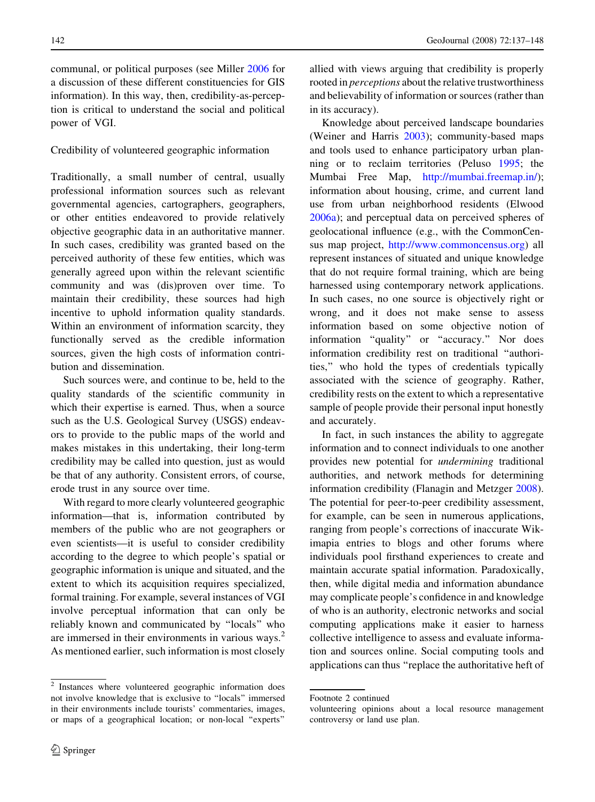communal, or political purposes (see Miller [2006](#page-10-0) for a discussion of these different constituencies for GIS information). In this way, then, credibility-as-perception is critical to understand the social and political power of VGI.

#### Credibility of volunteered geographic information

Traditionally, a small number of central, usually professional information sources such as relevant governmental agencies, cartographers, geographers, or other entities endeavored to provide relatively objective geographic data in an authoritative manner. In such cases, credibility was granted based on the perceived authority of these few entities, which was generally agreed upon within the relevant scientific community and was (dis)proven over time. To maintain their credibility, these sources had high incentive to uphold information quality standards. Within an environment of information scarcity, they functionally served as the credible information sources, given the high costs of information contribution and dissemination.

Such sources were, and continue to be, held to the quality standards of the scientific community in which their expertise is earned. Thus, when a source such as the U.S. Geological Survey (USGS) endeavors to provide to the public maps of the world and makes mistakes in this undertaking, their long-term credibility may be called into question, just as would be that of any authority. Consistent errors, of course, erode trust in any source over time.

With regard to more clearly volunteered geographic information—that is, information contributed by members of the public who are not geographers or even scientists—it is useful to consider credibility according to the degree to which people's spatial or geographic information is unique and situated, and the extent to which its acquisition requires specialized, formal training. For example, several instances of VGI involve perceptual information that can only be reliably known and communicated by ''locals'' who are immersed in their environments in various ways. $<sup>2</sup>$ </sup> As mentioned earlier, such information is most closely allied with views arguing that credibility is properly rooted in perceptions about the relative trustworthiness and believability of information or sources (rather than in its accuracy).

Knowledge about perceived landscape boundaries (Weiner and Harris [2003\)](#page-11-0); community-based maps and tools used to enhance participatory urban planning or to reclaim territories (Peluso [1995](#page-11-0); the Mumbai Free Map, <http://mumbai.freemap.in/>); information about housing, crime, and current land use from urban neighborhood residents (Elwood [2006a](#page-10-0)); and perceptual data on perceived spheres of geolocational influence (e.g., with the CommonCensus map project, [http://www.commoncensus.org\)](http://www.commoncensus.org) all represent instances of situated and unique knowledge that do not require formal training, which are being harnessed using contemporary network applications. In such cases, no one source is objectively right or wrong, and it does not make sense to assess information based on some objective notion of information "quality" or "accuracy." Nor does information credibility rest on traditional ''authorities,'' who hold the types of credentials typically associated with the science of geography. Rather, credibility rests on the extent to which a representative sample of people provide their personal input honestly and accurately.

In fact, in such instances the ability to aggregate information and to connect individuals to one another provides new potential for undermining traditional authorities, and network methods for determining information credibility (Flanagin and Metzger [2008](#page-10-0)). The potential for peer-to-peer credibility assessment, for example, can be seen in numerous applications, ranging from people's corrections of inaccurate Wikimapia entries to blogs and other forums where individuals pool firsthand experiences to create and maintain accurate spatial information. Paradoxically, then, while digital media and information abundance may complicate people's confidence in and knowledge of who is an authority, electronic networks and social computing applications make it easier to harness collective intelligence to assess and evaluate information and sources online. Social computing tools and applications can thus ''replace the authoritative heft of

 $\frac{2}{3}$  Instances where volunteered geographic information does not involve knowledge that is exclusive to ''locals'' immersed in their environments include tourists' commentaries, images, or maps of a geographical location; or non-local ''experts''

Footnote 2 continued

volunteering opinions about a local resource management controversy or land use plan.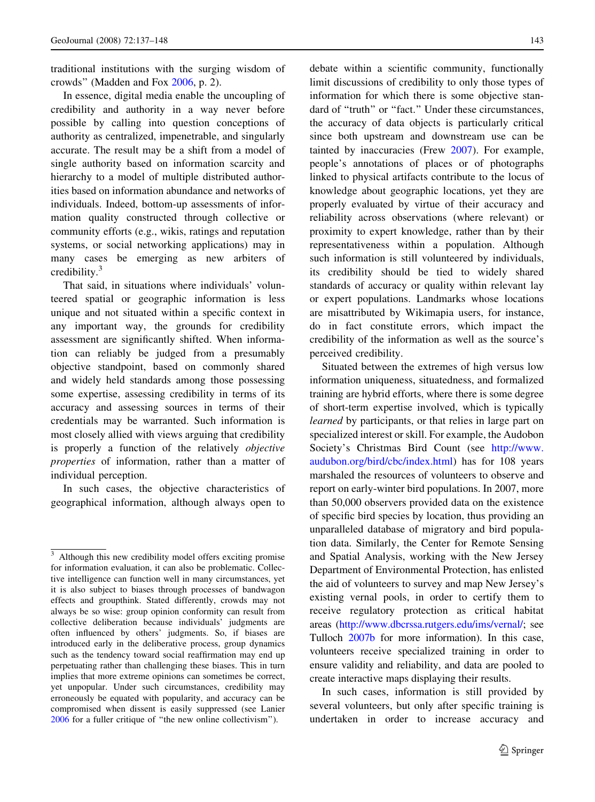traditional institutions with the surging wisdom of crowds'' (Madden and Fox [2006,](#page-10-0) p. 2).

In essence, digital media enable the uncoupling of credibility and authority in a way never before possible by calling into question conceptions of authority as centralized, impenetrable, and singularly accurate. The result may be a shift from a model of single authority based on information scarcity and hierarchy to a model of multiple distributed authorities based on information abundance and networks of individuals. Indeed, bottom-up assessments of information quality constructed through collective or community efforts (e.g., wikis, ratings and reputation systems, or social networking applications) may in many cases be emerging as new arbiters of credibility.<sup>3</sup>

That said, in situations where individuals' volunteered spatial or geographic information is less unique and not situated within a specific context in any important way, the grounds for credibility assessment are significantly shifted. When information can reliably be judged from a presumably objective standpoint, based on commonly shared and widely held standards among those possessing some expertise, assessing credibility in terms of its accuracy and assessing sources in terms of their credentials may be warranted. Such information is most closely allied with views arguing that credibility is properly a function of the relatively objective properties of information, rather than a matter of individual perception.

In such cases, the objective characteristics of geographical information, although always open to

debate within a scientific community, functionally limit discussions of credibility to only those types of information for which there is some objective standard of "truth" or "fact." Under these circumstances, the accuracy of data objects is particularly critical since both upstream and downstream use can be tainted by inaccuracies (Frew [2007\)](#page-10-0). For example, people's annotations of places or of photographs linked to physical artifacts contribute to the locus of knowledge about geographic locations, yet they are properly evaluated by virtue of their accuracy and reliability across observations (where relevant) or proximity to expert knowledge, rather than by their representativeness within a population. Although such information is still volunteered by individuals, its credibility should be tied to widely shared standards of accuracy or quality within relevant lay or expert populations. Landmarks whose locations are misattributed by Wikimapia users, for instance, do in fact constitute errors, which impact the credibility of the information as well as the source's perceived credibility.

Situated between the extremes of high versus low information uniqueness, situatedness, and formalized training are hybrid efforts, where there is some degree of short-term expertise involved, which is typically learned by participants, or that relies in large part on specialized interest or skill. For example, the Audobon Society's Christmas Bird Count (see [http://www.](http://www.audubon.org/bird/cbc/index.html) [audubon.org/bird/cbc/index.html\)](http://www.audubon.org/bird/cbc/index.html) has for 108 years marshaled the resources of volunteers to observe and report on early-winter bird populations. In 2007, more than 50,000 observers provided data on the existence of specific bird species by location, thus providing an unparalleled database of migratory and bird population data. Similarly, the Center for Remote Sensing and Spatial Analysis, working with the New Jersey Department of Environmental Protection, has enlisted the aid of volunteers to survey and map New Jersey's existing vernal pools, in order to certify them to receive regulatory protection as critical habitat areas [\(http://www.dbcrssa.rutgers.edu/ims/vernal/](http://www.dbcrssa.rutgers.edu/ims/vernal/); see Tulloch [2007b](#page-11-0) for more information). In this case, volunteers receive specialized training in order to ensure validity and reliability, and data are pooled to create interactive maps displaying their results.

In such cases, information is still provided by several volunteers, but only after specific training is undertaken in order to increase accuracy and

Although this new credibility model offers exciting promise for information evaluation, it can also be problematic. Collective intelligence can function well in many circumstances, yet it is also subject to biases through processes of bandwagon effects and groupthink. Stated differently, crowds may not always be so wise: group opinion conformity can result from collective deliberation because individuals' judgments are often influenced by others' judgments. So, if biases are introduced early in the deliberative process, group dynamics such as the tendency toward social reaffirmation may end up perpetuating rather than challenging these biases. This in turn implies that more extreme opinions can sometimes be correct, yet unpopular. Under such circumstances, credibility may erroneously be equated with popularity, and accuracy can be compromised when dissent is easily suppressed (see Lanier [2006](#page-10-0) for a fuller critique of ''the new online collectivism'').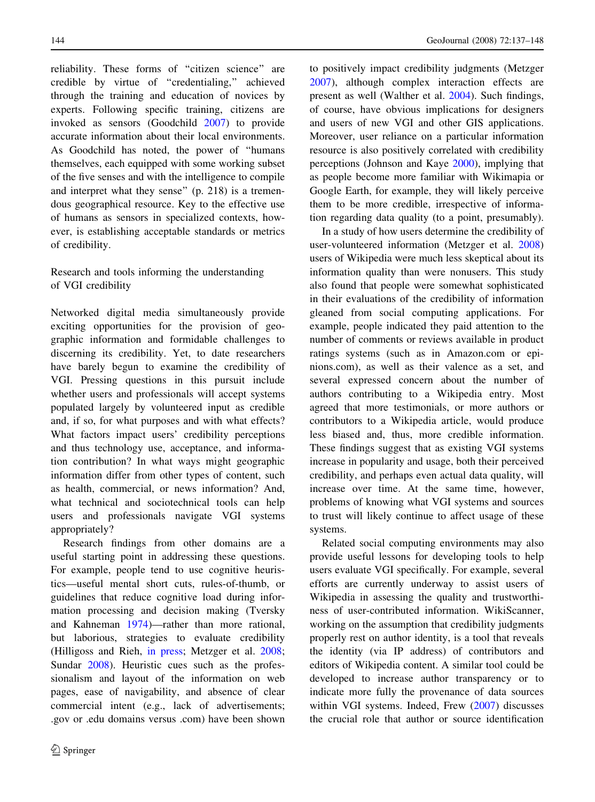reliability. These forms of ''citizen science'' are credible by virtue of ''credentialing,'' achieved through the training and education of novices by experts. Following specific training, citizens are invoked as sensors (Goodchild [2007\)](#page-10-0) to provide accurate information about their local environments. As Goodchild has noted, the power of ''humans themselves, each equipped with some working subset of the five senses and with the intelligence to compile and interpret what they sense'' (p. 218) is a tremendous geographical resource. Key to the effective use of humans as sensors in specialized contexts, however, is establishing acceptable standards or metrics of credibility.

## Research and tools informing the understanding of VGI credibility

Networked digital media simultaneously provide exciting opportunities for the provision of geographic information and formidable challenges to discerning its credibility. Yet, to date researchers have barely begun to examine the credibility of VGI. Pressing questions in this pursuit include whether users and professionals will accept systems populated largely by volunteered input as credible and, if so, for what purposes and with what effects? What factors impact users' credibility perceptions and thus technology use, acceptance, and information contribution? In what ways might geographic information differ from other types of content, such as health, commercial, or news information? And, what technical and sociotechnical tools can help users and professionals navigate VGI systems appropriately?

Research findings from other domains are a useful starting point in addressing these questions. For example, people tend to use cognitive heuristics—useful mental short cuts, rules-of-thumb, or guidelines that reduce cognitive load during information processing and decision making (Tversky and Kahneman [1974\)](#page-11-0)—rather than more rational, but laborious, strategies to evaluate credibility (Hilligoss and Rieh, [in press](#page-10-0); Metzger et al. [2008](#page-10-0); Sundar [2008\)](#page-11-0). Heuristic cues such as the professionalism and layout of the information on web pages, ease of navigability, and absence of clear commercial intent (e.g., lack of advertisements; .gov or .edu domains versus .com) have been shown to positively impact credibility judgments (Metzger [2007\)](#page-10-0), although complex interaction effects are present as well (Walther et al. [2004\)](#page-11-0). Such findings, of course, have obvious implications for designers and users of new VGI and other GIS applications. Moreover, user reliance on a particular information resource is also positively correlated with credibility perceptions (Johnson and Kaye [2000](#page-10-0)), implying that as people become more familiar with Wikimapia or Google Earth, for example, they will likely perceive them to be more credible, irrespective of information regarding data quality (to a point, presumably).

In a study of how users determine the credibility of user-volunteered information (Metzger et al. [2008\)](#page-10-0) users of Wikipedia were much less skeptical about its information quality than were nonusers. This study also found that people were somewhat sophisticated in their evaluations of the credibility of information gleaned from social computing applications. For example, people indicated they paid attention to the number of comments or reviews available in product ratings systems (such as in Amazon.com or epinions.com), as well as their valence as a set, and several expressed concern about the number of authors contributing to a Wikipedia entry. Most agreed that more testimonials, or more authors or contributors to a Wikipedia article, would produce less biased and, thus, more credible information. These findings suggest that as existing VGI systems increase in popularity and usage, both their perceived credibility, and perhaps even actual data quality, will increase over time. At the same time, however, problems of knowing what VGI systems and sources to trust will likely continue to affect usage of these systems.

Related social computing environments may also provide useful lessons for developing tools to help users evaluate VGI specifically. For example, several efforts are currently underway to assist users of Wikipedia in assessing the quality and trustworthiness of user-contributed information. WikiScanner, working on the assumption that credibility judgments properly rest on author identity, is a tool that reveals the identity (via IP address) of contributors and editors of Wikipedia content. A similar tool could be developed to increase author transparency or to indicate more fully the provenance of data sources within VGI systems. Indeed, Frew ([2007\)](#page-10-0) discusses the crucial role that author or source identification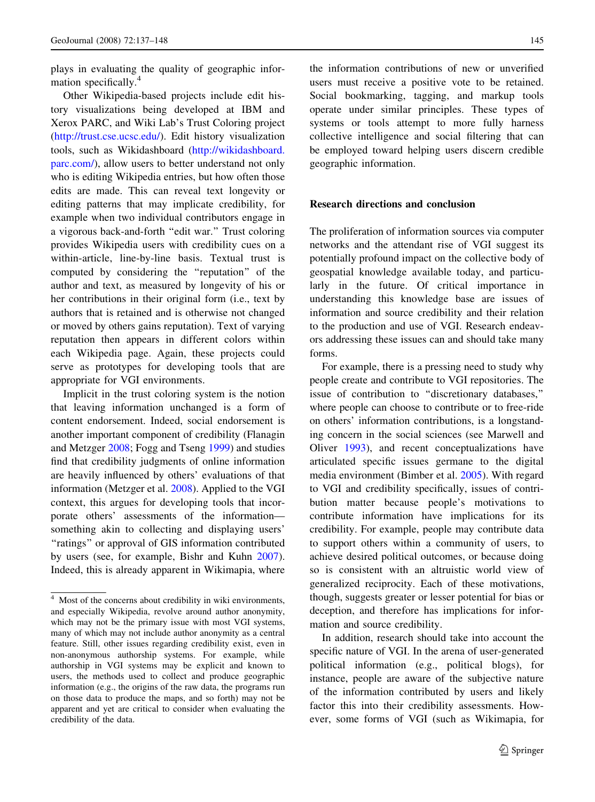plays in evaluating the quality of geographic information specifically.<sup>4</sup>

Other Wikipedia-based projects include edit history visualizations being developed at IBM and Xerox PARC, and Wiki Lab's Trust Coloring project [\(http://trust.cse.ucsc.edu/](http://trust.cse.ucsc.edu/)). Edit history visualization tools, such as Wikidashboard ([http://wikidashboard.](http://wikidashboard.parc.com/) [parc.com/\)](http://wikidashboard.parc.com/), allow users to better understand not only who is editing Wikipedia entries, but how often those edits are made. This can reveal text longevity or editing patterns that may implicate credibility, for example when two individual contributors engage in a vigorous back-and-forth ''edit war.'' Trust coloring provides Wikipedia users with credibility cues on a within-article, line-by-line basis. Textual trust is computed by considering the ''reputation'' of the author and text, as measured by longevity of his or her contributions in their original form (i.e., text by authors that is retained and is otherwise not changed or moved by others gains reputation). Text of varying reputation then appears in different colors within each Wikipedia page. Again, these projects could serve as prototypes for developing tools that are appropriate for VGI environments.

Implicit in the trust coloring system is the notion that leaving information unchanged is a form of content endorsement. Indeed, social endorsement is another important component of credibility (Flanagin and Metzger [2008;](#page-10-0) Fogg and Tseng [1999\)](#page-10-0) and studies find that credibility judgments of online information are heavily influenced by others' evaluations of that information (Metzger et al. [2008](#page-10-0)). Applied to the VGI context, this argues for developing tools that incorporate others' assessments of the information something akin to collecting and displaying users' "ratings" or approval of GIS information contributed by users (see, for example, Bishr and Kuhn [2007](#page-9-0)). Indeed, this is already apparent in Wikimapia, where

the information contributions of new or unverified users must receive a positive vote to be retained. Social bookmarking, tagging, and markup tools operate under similar principles. These types of systems or tools attempt to more fully harness collective intelligence and social filtering that can be employed toward helping users discern credible geographic information.

#### Research directions and conclusion

The proliferation of information sources via computer networks and the attendant rise of VGI suggest its potentially profound impact on the collective body of geospatial knowledge available today, and particularly in the future. Of critical importance in understanding this knowledge base are issues of information and source credibility and their relation to the production and use of VGI. Research endeavors addressing these issues can and should take many forms.

For example, there is a pressing need to study why people create and contribute to VGI repositories. The issue of contribution to ''discretionary databases,'' where people can choose to contribute or to free-ride on others' information contributions, is a longstanding concern in the social sciences (see Marwell and Oliver [1993\)](#page-10-0), and recent conceptualizations have articulated specific issues germane to the digital media environment (Bimber et al. [2005\)](#page-9-0). With regard to VGI and credibility specifically, issues of contribution matter because people's motivations to contribute information have implications for its credibility. For example, people may contribute data to support others within a community of users, to achieve desired political outcomes, or because doing so is consistent with an altruistic world view of generalized reciprocity. Each of these motivations, though, suggests greater or lesser potential for bias or deception, and therefore has implications for information and source credibility.

In addition, research should take into account the specific nature of VGI. In the arena of user-generated political information (e.g., political blogs), for instance, people are aware of the subjective nature of the information contributed by users and likely factor this into their credibility assessments. However, some forms of VGI (such as Wikimapia, for

<sup>&</sup>lt;sup>4</sup> Most of the concerns about credibility in wiki environments, and especially Wikipedia, revolve around author anonymity, which may not be the primary issue with most VGI systems, many of which may not include author anonymity as a central feature. Still, other issues regarding credibility exist, even in non-anonymous authorship systems. For example, while authorship in VGI systems may be explicit and known to users, the methods used to collect and produce geographic information (e.g., the origins of the raw data, the programs run on those data to produce the maps, and so forth) may not be apparent and yet are critical to consider when evaluating the credibility of the data.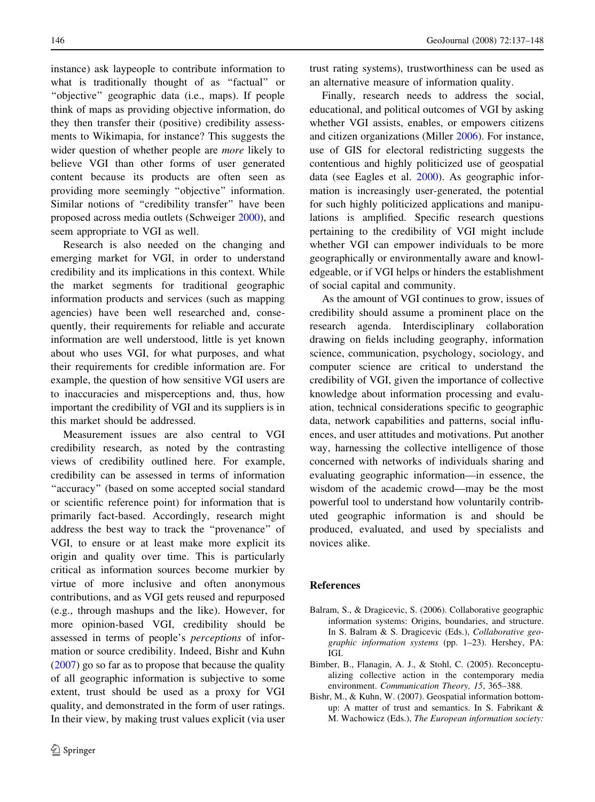<span id="page-9-0"></span>instance) ask laypeople to contribute information to what is traditionally thought of as "factual" or "objective" geographic data (i.e., maps). If people think of maps as providing objective information, do they then transfer their (positive) credibility assessments to Wikimapia, for instance? This suggests the wider question of whether people are more likely to believe VGI than other forms of user generated content because its products are often seen as providing more seemingly ''objective'' information. Similar notions of "credibility transfer" have been proposed across media outlets (Schweiger [2000](#page-11-0)), and seem appropriate to VGI as well.

Research is also needed on the changing and emerging market for VGI, in order to understand credibility and its implications in this context. While the market segments for traditional geographic information products and services (such as mapping agencies) have been well researched and, consequently, their requirements for reliable and accurate information are well understood, little is yet known about who uses VGI, for what purposes, and what their requirements for credible information are. For example, the question of how sensitive VGI users are to inaccuracies and misperceptions and, thus, how important the credibility of VGI and its suppliers is in this market should be addressed.

Measurement issues are also central to VGI credibility research, as noted by the contrasting views of credibility outlined here. For example, credibility can be assessed in terms of information "accuracy" (based on some accepted social standard or scientific reference point) for information that is primarily fact-based. Accordingly, research might address the best way to track the ''provenance'' of VGI, to ensure or at least make more explicit its origin and quality over time. This is particularly critical as information sources become murkier by virtue of more inclusive and often anonymous contributions, and as VGI gets reused and repurposed (e.g., through mashups and the like). However, for more opinion-based VGI, credibility should be assessed in terms of people's perceptions of information or source credibility. Indeed, Bishr and Kuhn (2007) go so far as to propose that because the quality of all geographic information is subjective to some extent, trust should be used as a proxy for VGI quality, and demonstrated in the form of user ratings. In their view, by making trust values explicit (via user

trust rating systems), trustworthiness can be used as an alternative measure of information quality.

Finally, research needs to address the social, educational, and political outcomes of VGI by asking whether VGI assists, enables, or empowers citizens and citizen organizations (Miller [2006\)](#page-10-0). For instance, use of GIS for electoral redistricting suggests the contentious and highly politicized use of geospatial data (see Eagles et al. [2000](#page-10-0)). As geographic information is increasingly user-generated, the potential for such highly politicized applications and manipulations is amplified. Specific research questions pertaining to the credibility of VGI might include whether VGI can empower individuals to be more geographically or environmentally aware and knowledgeable, or if VGI helps or hinders the establishment of social capital and community.

As the amount of VGI continues to grow, issues of credibility should assume a prominent place on the research agenda. Interdisciplinary collaboration drawing on fields including geography, information science, communication, psychology, sociology, and computer science are critical to understand the credibility of VGI, given the importance of collective knowledge about information processing and evaluation, technical considerations specific to geographic data, network capabilities and patterns, social influences, and user attitudes and motivations. Put another way, harnessing the collective intelligence of those concerned with networks of individuals sharing and evaluating geographic information—in essence, the wisdom of the academic crowd—may be the most powerful tool to understand how voluntarily contributed geographic information is and should be produced, evaluated, and used by specialists and novices alike.

#### References

- Balram, S., & Dragicevic, S. (2006). Collaborative geographic information systems: Origins, boundaries, and structure. In S. Balram & S. Dragicevic (Eds.), Collaborative geographic information systems (pp. 1–23). Hershey, PA: IGI.
- Bimber, B., Flanagin, A. J., & Stohl, C. (2005). Reconceptualizing collective action in the contemporary media environment. Communication Theory, 15, 365–388.
- Bishr, M., & Kuhn, W. (2007). Geospatial information bottomup: A matter of trust and semantics. In S. Fabrikant & M. Wachowicz (Eds.), The European information society: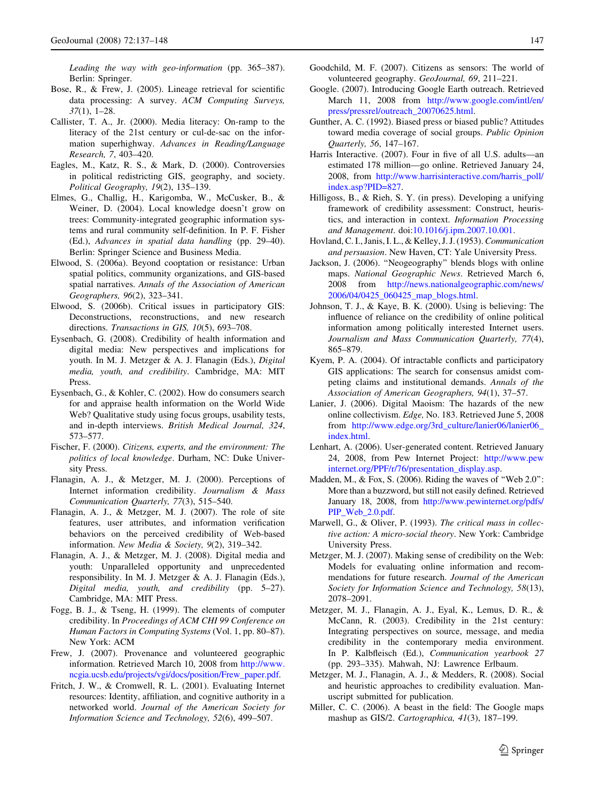<span id="page-10-0"></span>Leading the way with geo-information (pp. 365–387). Berlin: Springer.

- Bose, R., & Frew, J. (2005). Lineage retrieval for scientific data processing: A survey. ACM Computing Surveys, 37(1), 1–28.
- Callister, T. A., Jr. (2000). Media literacy: On-ramp to the literacy of the 21st century or cul-de-sac on the information superhighway. Advances in Reading/Language Research, 7, 403–420.
- Eagles, M., Katz, R. S., & Mark, D. (2000). Controversies in political redistricting GIS, geography, and society. Political Geography, 19(2), 135–139.
- Elmes, G., Challig, H., Karigomba, W., McCusker, B., & Weiner, D. (2004). Local knowledge doesn't grow on trees: Community-integrated geographic information systems and rural community self-definition. In P. F. Fisher (Ed.), Advances in spatial data handling (pp. 29–40). Berlin: Springer Science and Business Media.
- Elwood, S. (2006a). Beyond cooptation or resistance: Urban spatial politics, community organizations, and GIS-based spatial narratives. Annals of the Association of American Geographers, 96(2), 323–341.
- Elwood, S. (2006b). Critical issues in participatory GIS: Deconstructions, reconstructions, and new research directions. Transactions in GIS, 10(5), 693-708.
- Eysenbach, G. (2008). Credibility of health information and digital media: New perspectives and implications for youth. In M. J. Metzger & A. J. Flanagin (Eds.), Digital media, youth, and credibility. Cambridge, MA: MIT Press.
- Eysenbach, G., & Kohler, C. (2002). How do consumers search for and appraise health information on the World Wide Web? Qualitative study using focus groups, usability tests, and in-depth interviews. British Medical Journal, 324, 573–577.
- Fischer, F. (2000). Citizens, experts, and the environment: The politics of local knowledge. Durham, NC: Duke University Press.
- Flanagin, A. J., & Metzger, M. J. (2000). Perceptions of Internet information credibility. Journalism & Mass Communication Quarterly, 77(3), 515–540.
- Flanagin, A. J., & Metzger, M. J. (2007). The role of site features, user attributes, and information verification behaviors on the perceived credibility of Web-based information. New Media & Society, 9(2), 319–342.
- Flanagin, A. J., & Metzger, M. J. (2008). Digital media and youth: Unparalleled opportunity and unprecedented responsibility. In M. J. Metzger & A. J. Flanagin (Eds.), Digital media, youth, and credibility (pp. 5–27). Cambridge, MA: MIT Press.
- Fogg, B. J., & Tseng, H. (1999). The elements of computer credibility. In Proceedings of ACM CHI 99 Conference on Human Factors in Computing Systems (Vol. 1, pp. 80–87). New York: ACM
- Frew, J. (2007). Provenance and volunteered geographic information. Retrieved March 10, 2008 from [http://www.](http://www.ncgia.ucsb.edu/projects/vgi/docs/position/Frew_paper.pdf) [ncgia.ucsb.edu/projects/vgi/docs/position/Frew\\_paper.pdf](http://www.ncgia.ucsb.edu/projects/vgi/docs/position/Frew_paper.pdf).
- Fritch, J. W., & Cromwell, R. L. (2001). Evaluating Internet resources: Identity, affiliation, and cognitive authority in a networked world. Journal of the American Society for Information Science and Technology, 52(6), 499–507.
- Goodchild, M. F. (2007). Citizens as sensors: The world of volunteered geography. GeoJournal, 69, 211–221.
- Google. (2007). Introducing Google Earth outreach. Retrieved March 11, 2008 from [http://www.google.com/intl/en/](http://www.google.com/intl/en/press/pressrel/outreach_20070625.html) [press/pressrel/outreach\\_20070625.html.](http://www.google.com/intl/en/press/pressrel/outreach_20070625.html)
- Gunther, A. C. (1992). Biased press or biased public? Attitudes toward media coverage of social groups. Public Opinion Quarterly, 56, 147–167.
- Harris Interactive. (2007). Four in five of all U.S. adults—an estimated 178 million—go online. Retrieved January 24, 2008, from [http://www.harrisinteractive.com/harris\\_poll/](http://www.harrisinteractive.com/harris_poll/index.asp?PID=827) [index.asp?PID=827](http://www.harrisinteractive.com/harris_poll/index.asp?PID=827).
- Hilligoss, B., & Rieh, S. Y. (in press). Developing a unifying framework of credibility assessment: Construct, heuristics, and interaction in context. Information Processing and Management. doi:[10.1016/j.ipm.2007.10.001.](http://dx.doi.org/10.1016/j.ipm.2007.10.001)
- Hovland, C. I., Janis, I. L., & Kelley, J. J. (1953). Communication and persuasion. New Haven, CT: Yale University Press.
- Jackson, J. (2006). ''Neogeography'' blends blogs with online maps. National Geographic News. Retrieved March 6, 2008 from [http://news.nationalgeographic.com/news/](http://news.nationalgeographic.com/news/2006/04/0425_060425_map_blogs.html) [2006/04/0425\\_060425\\_map\\_blogs.html.](http://news.nationalgeographic.com/news/2006/04/0425_060425_map_blogs.html)
- Johnson, T. J., & Kaye, B. K. (2000). Using is believing: The influence of reliance on the credibility of online political information among politically interested Internet users. Journalism and Mass Communication Quarterly, 77(4), 865–879.
- Kyem, P. A. (2004). Of intractable conflicts and participatory GIS applications: The search for consensus amidst competing claims and institutional demands. Annals of the Association of American Geographers, 94(1), 37–57.
- Lanier, J. (2006). Digital Maoism: The hazards of the new online collectivism. Edge, No. 183. Retrieved June 5, 2008 from [http://www.edge.org/3rd\\_culture/lanier06/lanier06\\_](http://www.edge.org/3rd_culture/lanier06/lanier06_index.html) [index.html.](http://www.edge.org/3rd_culture/lanier06/lanier06_index.html)
- Lenhart, A. (2006). User-generated content. Retrieved January 24, 2008, from Pew Internet Project: [http://www.pew](http://www.pewinternet.org/PPF/r/76/presentation_display.asp) [internet.org/PPF/r/76/presentation\\_display.asp.](http://www.pewinternet.org/PPF/r/76/presentation_display.asp)
- Madden, M., & Fox, S. (2006). Riding the waves of "Web 2.0": More than a buzzword, but still not easily defined. Retrieved January 18, 2008, from [http://www.pewinternet.org/pdfs/](http://www.pewinternet.org/pdfs/PIP_Web_2.0.pdf) [PIP\\_Web\\_2.0.pdf](http://www.pewinternet.org/pdfs/PIP_Web_2.0.pdf).
- Marwell, G., & Oliver, P. (1993). The critical mass in collective action: A micro-social theory. New York: Cambridge University Press.
- Metzger, M. J. (2007). Making sense of credibility on the Web: Models for evaluating online information and recommendations for future research. Journal of the American Society for Information Science and Technology, 58(13), 2078–2091.
- Metzger, M. J., Flanagin, A. J., Eyal, K., Lemus, D. R., & McCann, R. (2003). Credibility in the 21st century: Integrating perspectives on source, message, and media credibility in the contemporary media environment. In P. Kalbfleisch (Ed.), Communication yearbook 27 (pp. 293–335). Mahwah, NJ: Lawrence Erlbaum.
- Metzger, M. J., Flanagin, A. J., & Medders, R. (2008). Social and heuristic approaches to credibility evaluation. Manuscript submitted for publication.
- Miller, C. C. (2006). A beast in the field: The Google maps mashup as GIS/2. Cartographica, 41(3), 187–199.